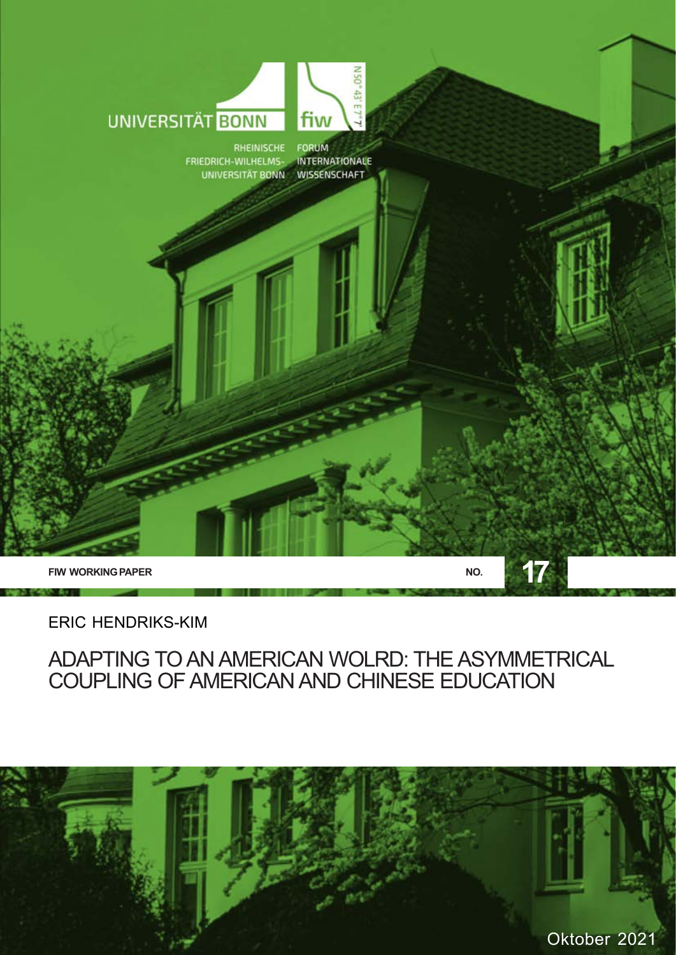

ERIC HENDRIKS-KIM

### ADAPTING TO AN AMERICAN WOLRD: THE ASYMMETRICAL COUPLING OF AMERICAN AND CHINESE EDUCATION

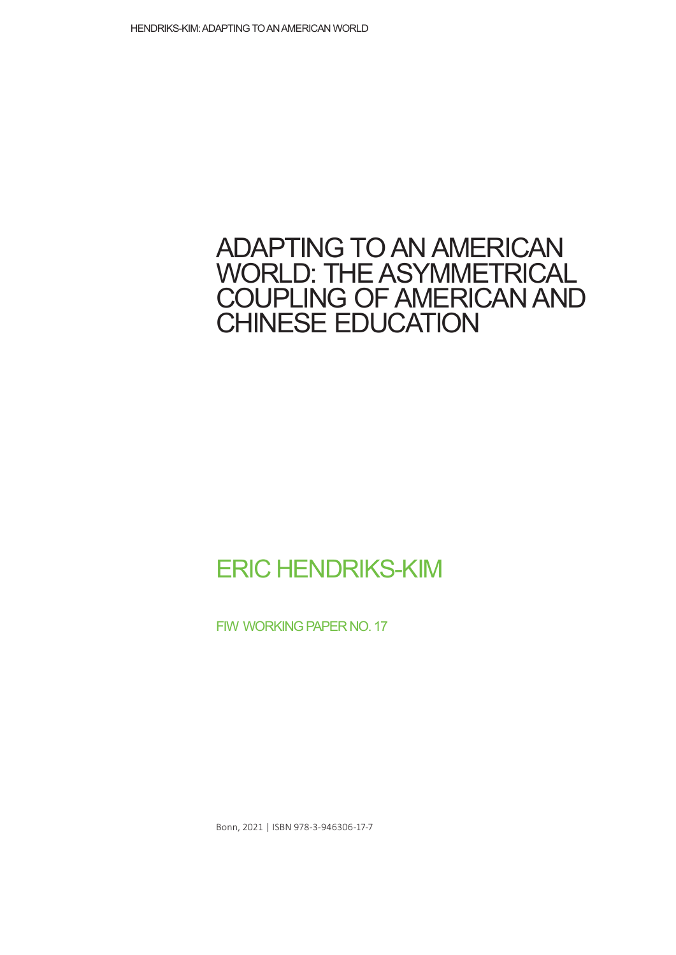## ADAPTING TO AN AMERICAN WORLD: THE ASYMMETRICAL COUPLING OF AMERICAN AND CHINESE EDUCATION

# ERIC HENDRIKS-KIM

FIW WORKING PAPER NO. 17

Bonn, 2021 | ISBN 978-3-946306-17-7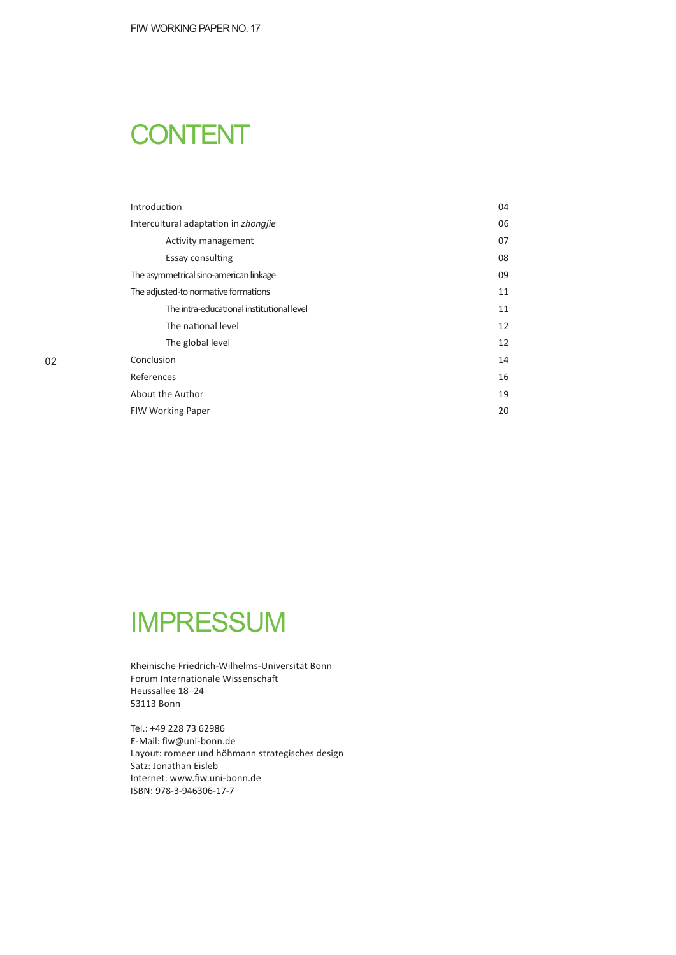# **CONTENT**

| Introduction                              | 04 |
|-------------------------------------------|----|
| Intercultural adaptation in zhongjie      | 06 |
| Activity management                       | 07 |
| Essay consulting                          | 08 |
| The asymmetrical sino-american linkage    | 09 |
| The adjusted-to normative formations      | 11 |
| The intra-educational institutional level | 11 |
| The national level                        | 12 |
| The global level                          | 12 |
| Conclusion                                | 14 |
| References                                | 16 |
| About the Author                          | 19 |
| <b>FIW Working Paper</b>                  | 20 |

# IMPRESSUM

Rheinische Friedrich-Wilhelms-Universität Bonn Forum Internationale Wissenschaft Heussallee 18–24 53113 Bonn

Tel.: +49 228 73 62986 E-Mail: fiw@uni-bonn.de Layout: romeer und höhmann strategisches design Satz: Jonathan Eisleb Internet: www.fiw.uni-bonn.de ISBN: 978-3-946306-17-7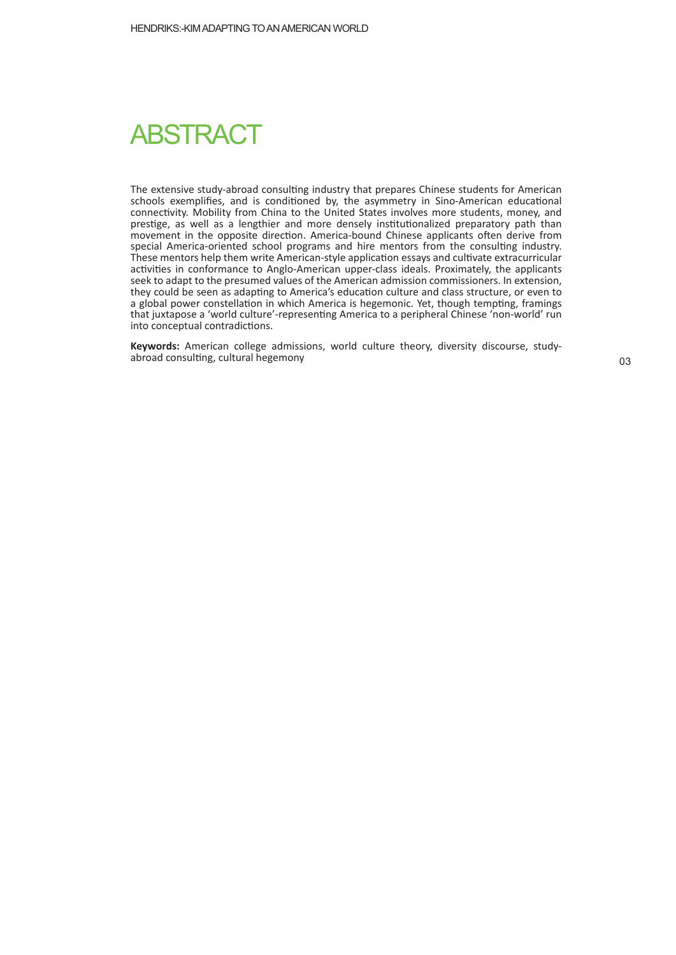# **ABSTRACT**

The extensive study-abroad consulting industry that prepares Chinese students for American schools exemplifies, and is conditioned by, the asymmetry in Sino-American educational connectivity. Mobility from China to the United States involves more students, money, and prestige, as well as a lengthier and more densely institutionalized preparatory path than movement in the opposite direction. America-bound Chinese applicants often derive from special America-oriented school programs and hire mentors from the consulting industry. These mentors help them write American-style application essays and cultivate extracurricular activities in conformance to Anglo-American upper-class ideals. Proximately, the applicants seek to adapt to the presumed values of the American admission commissioners. In extension, they could be seen as adapting to America's education culture and class structure, or even to a global power constellation in which America is hegemonic. Yet, though tempting, framings that juxtapose a 'world culture'-representing America to a peripheral Chinese 'non-world' run into conceptual contradictions.

**Keywords:** American college admissions, world culture theory, diversity discourse, studyabroad consulting, cultural hegemony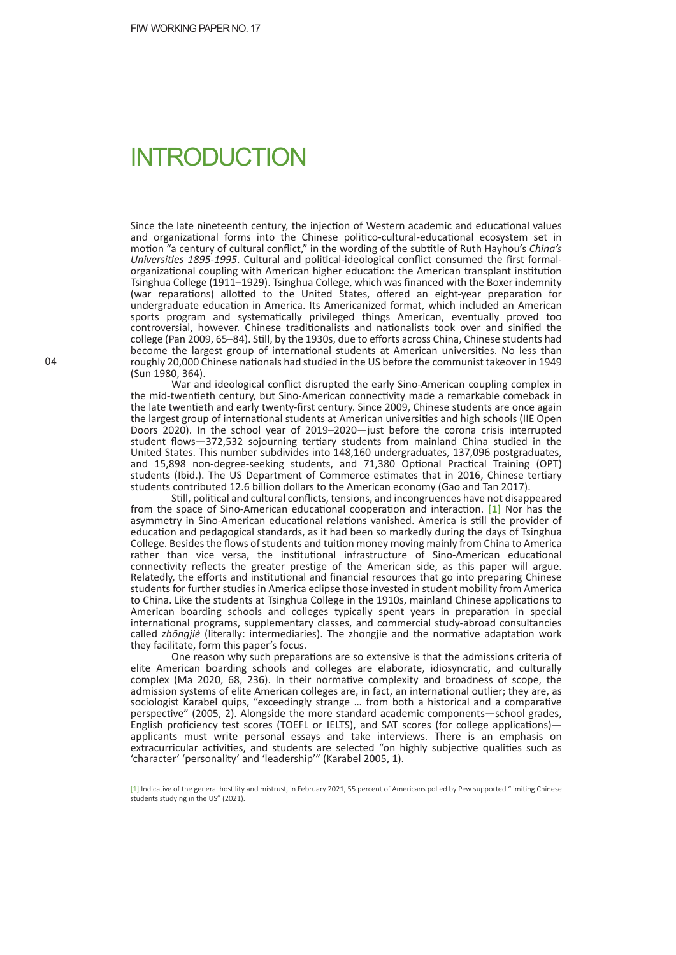## INTRODUCTION

Since the late nineteenth century, the injection of Western academic and educational values and organizational forms into the Chinese politico-cultural-educational ecosystem set in motion "a century of cultural conflict," in the wording of the subtitle of Ruth Hayhou's *China's Universi�es 1895-1995*. Cultural and poli�cal-ideological conflict consumed the first formalorganizational coupling with American higher education: the American transplant institution Tsinghua College (1911–1929). Tsinghua College, which was financed with the Boxer indemnity (war reparations) allotted to the United States, offered an eight-year preparation for undergraduate education in America. Its Americanized format, which included an American sports program and systema�cally privileged things American, eventually proved too controversial, however. Chinese traditionalists and nationalists took over and sinified the college (Pan 2009, 65–84). Still, by the 1930s, due to efforts across China, Chinese students had become the largest group of international students at American universities. No less than roughly 20,000 Chinese nationals had studied in the US before the communist takeover in 1949 (Sun 1980, 364).

War and ideological conflict disrupted the early Sino-American coupling complex in the mid-twentieth century, but Sino-American connectivity made a remarkable comeback in the late twen�eth and early twenty-first century. Since 2009, Chinese students are once again the largest group of international students at American universities and high schools (IIE Open Doors 2020). In the school year of 2019–2020—just before the corona crisis interrupted student flows—372,532 sojourning ter�ary students from mainland China studied in the United States. This number subdivides into 148,160 undergraduates, 137,096 postgraduates, and 15,898 non-degree-seeking students, and 71,380 Optional Practical Training (OPT) students (Ibid.). The US Department of Commerce estimates that in 2016, Chinese tertiary students contributed 12.6 billion dollars to the American economy (Gao and Tan 2017).

Still, political and cultural conflicts, tensions, and incongruences have not disappeared from the space of Sino-American educational cooperation and interaction. [1] Nor has the asymmetry in Sino-American educational relations vanished. America is still the provider of education and pedagogical standards, as it had been so markedly during the days of Tsinghua College. Besides the flows of students and tuition money moving mainly from China to America rather than vice versa, the institutional infrastructure of Sino-American educational connectivity reflects the greater prestige of the American side, as this paper will argue. Relatedly, the efforts and institutional and financial resources that go into preparing Chinese students for further studies in America eclipse those invested in student mobility from America to China. Like the students at Tsinghua College in the 1910s, mainland Chinese applications to American boarding schools and colleges typically spent years in preparation in special international programs, supplementary classes, and commercial study-abroad consultancies called *zhōngjiè* (literally: intermediaries). The zhongjie and the normative adaptation work they facilitate, form this paper's focus.

One reason why such preparations are so extensive is that the admissions criteria of elite American boarding schools and colleges are elaborate, idiosyncratic, and culturally complex (Ma 2020, 68, 236). In their normative complexity and broadness of scope, the admission systems of elite American colleges are, in fact, an international outlier; they are, as sociologist Karabel quips, "exceedingly strange ... from both a historical and a comparative perspective" (2005, 2). Alongside the more standard academic components—school grades, English proficiency test scores (TOEFL or IELTS), and SAT scores (for college applications)applicants must write personal essays and take interviews. There is an emphasis on extracurricular activities, and students are selected "on highly subjective qualities such as 'character' 'personality' and 'leadership'" (Karabel 2005, 1).

<sup>[1]</sup> Indicative of the general hostility and mistrust, in February 2021, 55 percent of Americans polled by Pew supported "limiting Chinese students studying in the US" (2021).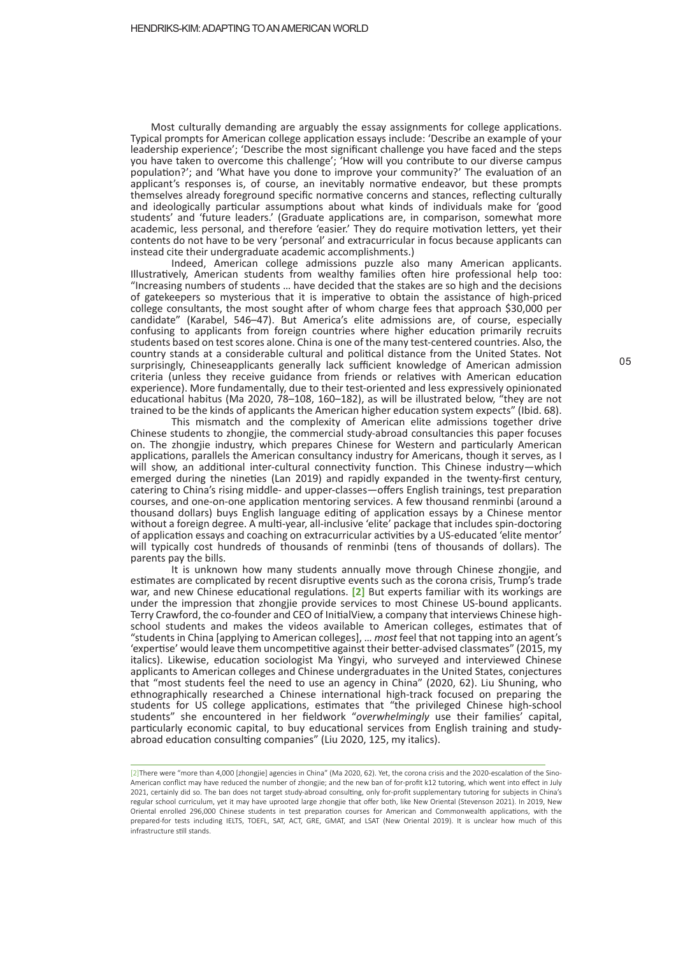Most culturally demanding are arguably the essay assignments for college applications. Typical prompts for American college application essays include: 'Describe an example of your leadership experience'; 'Describe the most significant challenge you have faced and the steps you have taken to overcome this challenge'; 'How will you contribute to our diverse campus population?'; and 'What have you done to improve your community?' The evaluation of an applicant's responses is, of course, an inevitably normative endeavor, but these prompts themselves already foreground specific normative concerns and stances, reflecting culturally and ideologically particular assumptions about what kinds of individuals make for 'good students' and 'future leaders.' (Graduate applications are, in comparison, somewhat more academic, less personal, and therefore 'easier.' They do require motivation letters, yet their contents do not have to be very 'personal' and extracurricular in focus because applicants can instead cite their undergraduate academic accomplishments.)

Indeed, American college admissions puzzle also many American applicants. Illustratively, American students from wealthy families often hire professional help too: "Increasing numbers of students … have decided that the stakes are so high and the decisions of gatekeepers so mysterious that it is imperative to obtain the assistance of high-priced college consultants, the most sought a�er of whom charge fees that approach \$30,000 per candidate" (Karabel, 546–47). But America's elite admissions are, of course, especially confusing to applicants from foreign countries where higher education primarily recruits students based on test scores alone. China is one of the many test-centered countries. Also, the country stands at a considerable cultural and poli�cal distance from the United States. Not surprisingly, Chineseapplicants generally lack sufficient knowledge of American admission criteria (unless they receive guidance from friends or relatives with American education experience). More fundamentally, due to their test-oriented and less expressively opinionated educational habitus (Ma 2020, 78-108, 160-182), as will be illustrated below, "they are not trained to be the kinds of applicants the American higher education system expects" (Ibid. 68).

This mismatch and the complexity of American elite admissions together drive Chinese students to zhongjie, the commercial study-abroad consultancies this paper focuses on. The zhongjie industry, which prepares Chinese for Western and par�cularly American applications, parallels the American consultancy industry for Americans, though it serves, as I will show, an additional inter-cultural connectivity function. This Chinese industry—which emerged during the nineties (Lan 2019) and rapidly expanded in the twenty-first century, catering to China's rising middle- and upper-classes—offers English trainings, test preparation courses, and one-on-one application mentoring services. A few thousand renminbi (around a thousand dollars) buys English language editing of application essays by a Chinese mentor without a foreign degree. A multi-year, all-inclusive 'elite' package that includes spin-doctoring of application essays and coaching on extracurricular activities by a US-educated 'elite mentor' will typically cost hundreds of thousands of renminbi (tens of thousands of dollars). The parents pay the bills.

It is unknown how many students annually move through Chinese zhongjie, and estimates are complicated by recent disruptive events such as the corona crisis, Trump's trade war, and new Chinese educational regulations. **[2]** But experts familiar with its workings are under the impression that zhongjie provide services to most Chinese US-bound applicants. Terry Crawford, the co-founder and CEO of Ini�alView, a company that interviews Chinese highschool students and makes the videos available to American colleges, estimates that of "students in China [applying to American colleges], … *most* feel that not tapping into an agent's 'expertise' would leave them uncompetitive against their better-advised classmates" (2015, my italics). Likewise, education sociologist Ma Yingyi, who surveyed and interviewed Chinese applicants to American colleges and Chinese undergraduates in the United States, conjectures that "most students feel the need to use an agency in China" (2020, 62). Liu Shuning, who ethnographically researched a Chinese international high-track focused on preparing the students for US college applications, estimates that "the privileged Chinese high-school students" she encountered in her fieldwork "*overwhelmingly* use their families' capital, particularly economic capital, to buy educational services from English training and studyabroad education consulting companies" (Liu 2020, 125, my italics).

<sup>[2]</sup>There were "more than 4,000 [zhongjie] agencies in China" (Ma 2020, 62). Yet, the corona crisis and the 2020-escalation of the Sino-American conflict may have reduced the number of zhongjie; and the new ban of for-profit k12 tutoring, which went into effect in July 2021, certainly did so. The ban does not target study-abroad consulting, only for-profit supplementary tutoring for subjects in China's regular school curriculum, yet it may have uprooted large zhongjie that offer both, like New Oriental (Stevenson 2021). In 2019, New Oriental enrolled 296,000 Chinese students in test preparation courses for American and Commonwealth applications, with the prepared-for tests including IELTS, TOEFL, SAT, ACT, GRE, GMAT, and LSAT (New Oriental 2019). It is unclear how much of this infrastructure s�ll stands.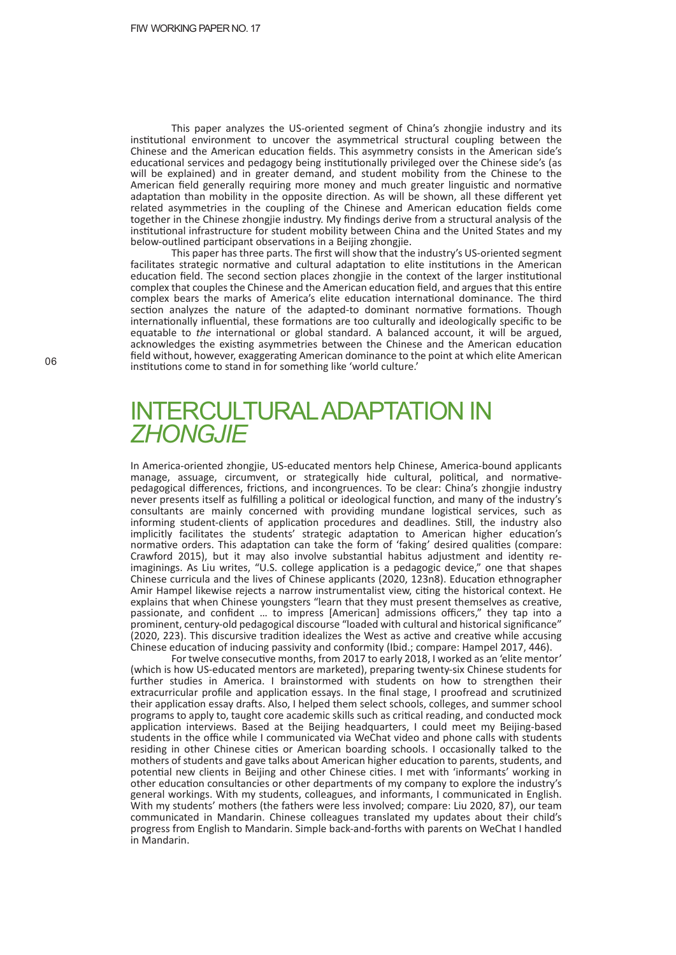This paper analyzes the US-oriented segment of China's zhongjie industry and its institutional environment to uncover the asymmetrical structural coupling between the Chinese and the American education fields. This asymmetry consists in the American side's educational services and pedagogy being institutionally privileged over the Chinese side's (as will be explained) and in greater demand, and student mobility from the Chinese to the American field generally requiring more money and much greater linguistic and normative adaptation than mobility in the opposite direction. As will be shown, all these different yet related asymmetries in the coupling of the Chinese and American education fields come together in the Chinese zhongjie industry. My findings derive from a structural analysis of the institutional infrastructure for student mobility between China and the United States and my below-outlined participant observations in a Beijing zhongjie.

This paper has three parts. The first will show that the industry's US-oriented segment facilitates strategic normative and cultural adaptation to elite institutions in the American education field. The second section places zhongjie in the context of the larger institutional complex that couples the Chinese and the American education field, and argues that this entire complex bears the marks of America's elite education international dominance. The third section analyzes the nature of the adapted-to dominant normative formations. Though internationally influential, these formations are too culturally and ideologically specific to be equatable to *the* international or global standard. A balanced account, it will be argued, acknowledges the existing asymmetries between the Chinese and the American education field without, however, exaggerating American dominance to the point at which elite American institutions come to stand in for something like 'world culture.'

## INTERCULTURALADAPTATION IN *ZHONGJIE*

In America-oriented zhongjie, US-educated mentors help Chinese, America-bound applicants manage, assuage, circumvent, or strategically hide cultural, political, and normativepedagogical differences, frictions, and incongruences. To be clear: China's zhongjie industry never presents itself as fulfilling a political or ideological function, and many of the industry's consultants are mainly concerned with providing mundane logis�cal services, such as informing student-clients of application procedures and deadlines. Still, the industry also implicitly facilitates the students' strategic adaptation to American higher education's normative orders. This adaptation can take the form of 'faking' desired qualities (compare: Crawford 2015), but it may also involve substantial habitus adjustment and identity reimaginings. As Liu writes, "U.S. college application is a pedagogic device," one that shapes Chinese curricula and the lives of Chinese applicants (2020, 123n8). Education ethnographer Amir Hampel likewise rejects a narrow instrumentalist view, citing the historical context. He explains that when Chinese youngsters "learn that they must present themselves as creative, passionate, and confident … to impress [American] admissions officers," they tap into a prominent, century-old pedagogical discourse "loaded with cultural and historical significance" (2020, 223). This discursive tradition idealizes the West as active and creative while accusing Chinese education of inducing passivity and conformity (Ibid.; compare: Hampel 2017, 446).

For twelve consecutive months, from 2017 to early 2018, I worked as an 'elite mentor' (which is how US-educated mentors are marketed), preparing twenty-six Chinese students for further studies in America. I brainstormed with students on how to strengthen their extracurricular profile and application essays. In the final stage, I proofread and scrutinized their application essay drafts. Also, I helped them select schools, colleges, and summer school programs to apply to, taught core academic skills such as critical reading, and conducted mock application interviews. Based at the Beijing headquarters, I could meet my Beijing-based students in the office while I communicated via WeChat video and phone calls with students residing in other Chinese cities or American boarding schools. I occasionally talked to the mothers of students and gave talks about American higher education to parents, students, and potential new clients in Beijing and other Chinese cities. I met with 'informants' working in other education consultancies or other departments of my company to explore the industry's general workings. With my students, colleagues, and informants, I communicated in English. With my students' mothers (the fathers were less involved; compare: Liu 2020, 87), our team communicated in Mandarin. Chinese colleagues translated my updates about their child's progress from English to Mandarin. Simple back-and-forths with parents on WeChat I handled in Mandarin.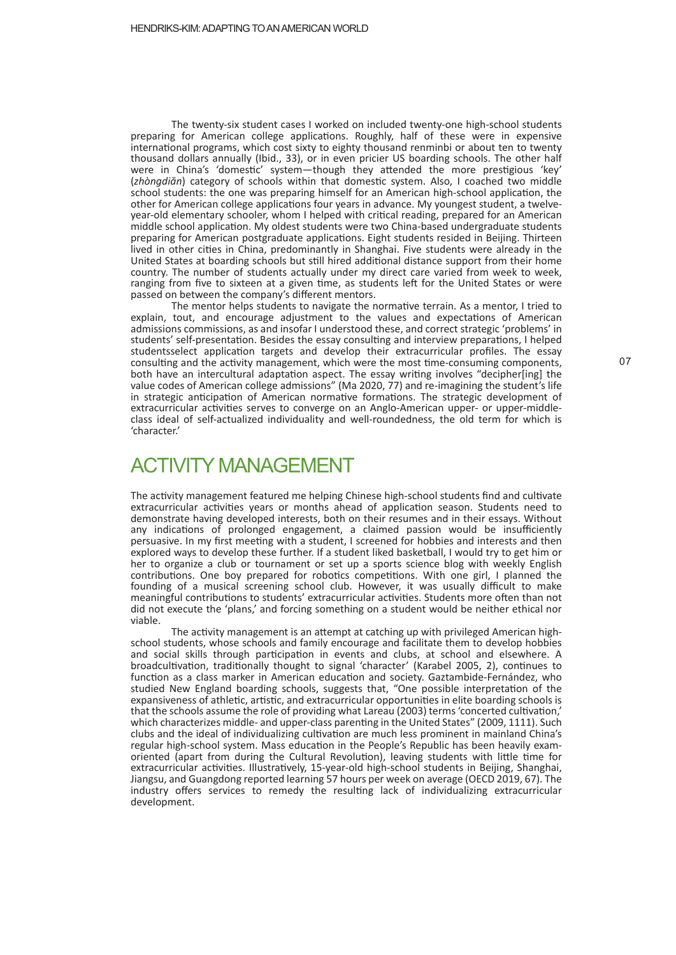The twenty-six student cases I worked on included twenty-one high-school students preparing for American college applications. Roughly, half of these were in expensive international programs, which cost sixty to eighty thousand renminbi or about ten to twenty thousand dollars annually (Ibid., 33), or in even pricier US boarding schools. The other half were in China's 'domestic' system—though they attended the more prestigious 'key' (*zhòngdiăn*) category of schools within that domes�c system. Also, I coached two middle school students: the one was preparing himself for an American high-school application, the other for American college applications four years in advance. My youngest student, a twelveyear-old elementary schooler, whom I helped with critical reading, prepared for an American middle school application. My oldest students were two China-based undergraduate students preparing for American postgraduate applications. Eight students resided in Beijing. Thirteen lived in other cities in China, predominantly in Shanghai. Five students were already in the United States at boarding schools but still hired additional distance support from their home country. The number of students actually under my direct care varied from week to week, ranging from five to sixteen at a given time, as students left for the United States or were passed on between the company's different mentors.

The mentor helps students to navigate the normative terrain. As a mentor, I tried to explain, tout, and encourage adjustment to the values and expectations of American admissions commissions, as and insofar I understood these, and correct strategic 'problems' in students' self-presentation. Besides the essay consulting and interview preparations, I helped studentsselect application targets and develop their extracurricular profiles. The essay consulting and the activity management, which were the most time-consuming components, both have an intercultural adaptation aspect. The essay writing involves "decipher[ing] the value codes of American college admissions" (Ma 2020, 77) and re-imagining the student's life in strategic anticipation of American normative formations. The strategic development of extracurricular activities serves to converge on an Anglo-American upper- or upper-middleclass ideal of self-actualized individuality and well-roundedness, the old term for which is 'character.'

#### ACTIVITY MANAGEMENT

The activity management featured me helping Chinese high-school students find and cultivate extracurricular activities years or months ahead of application season. Students need to demonstrate having developed interests, both on their resumes and in their essays. Without any indications of prolonged engagement, a claimed passion would be insufficiently persuasive. In my first mee�ng with a student, I screened for hobbies and interests and then explored ways to develop these further. If a student liked basketball, I would try to get him or her to organize a club or tournament or set up a sports science blog with weekly English contributions. One boy prepared for robotics competitions. With one girl, I planned the founding of a musical screening school club. However, it was usually difficult to make meaningful contributions to students' extracurricular activities. Students more often than not did not execute the 'plans,' and forcing something on a student would be neither ethical nor viable.

The activity management is an attempt at catching up with privileged American highschool students, whose schools and family encourage and facilitate them to develop hobbies and social skills through participation in events and clubs, at school and elsewhere. A broadcultivation, traditionally thought to signal 'character' (Karabel 2005, 2), continues to function as a class marker in American education and society. Gaztambide-Fernández, who studied New England boarding schools, suggests that, "One possible interpretation of the expansiveness of athletic, artistic, and extracurricular opportunities in elite boarding schools is that the schools assume the role of providing what Lareau (2003) terms 'concerted cultivation,' which characterizes middle- and upper-class parenting in the United States" (2009, 1111). Such clubs and the ideal of individualizing cultivation are much less prominent in mainland China's regular high-school system. Mass education in the People's Republic has been heavily examoriented (apart from during the Cultural Revolution), leaving students with little time for extracurricular activities. Illustratively, 15-year-old high-school students in Beijing, Shanghai, Jiangsu, and Guangdong reported learning 57 hours per week on average (OECD 2019, 67). The industry offers services to remedy the resulting lack of individualizing extracurricular development.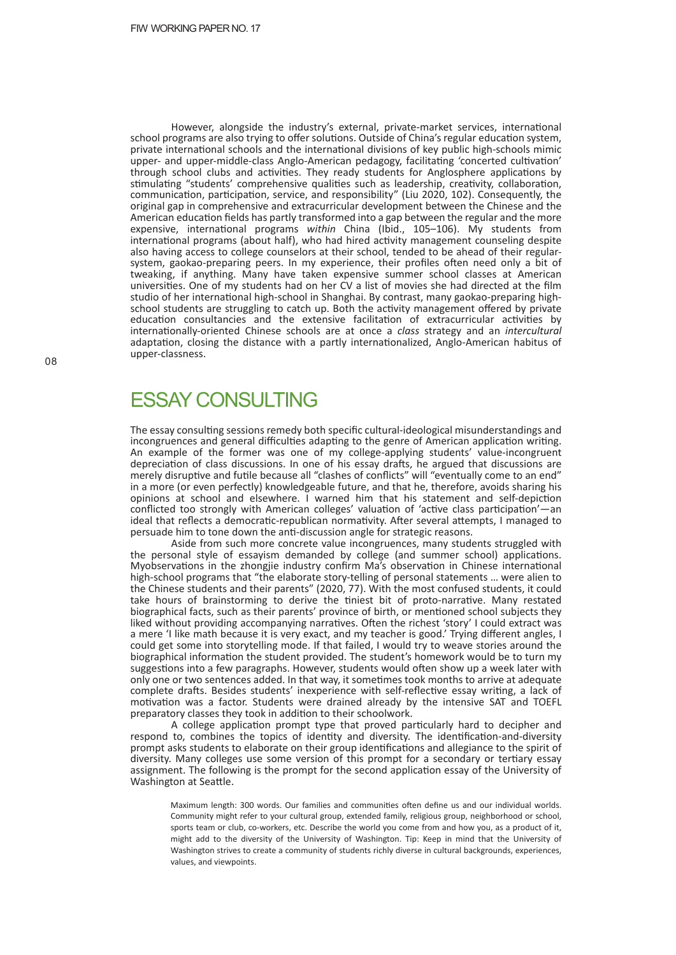However, alongside the industry's external, private-market services, international school programs are also trying to offer solutions. Outside of China's regular education system, private international schools and the international divisions of key public high-schools mimic upper- and upper-middle-class Anglo-American pedagogy, facilitating 'concerted cultivation' through school clubs and activities. They ready students for Anglosphere applications by stimulating "students' comprehensive qualities such as leadership, creativity, collaboration, communication, participation, service, and responsibility" (Liu 2020, 102). Consequently, the original gap in comprehensive and extracurricular development between the Chinese and the American education fields has partly transformed into a gap between the regular and the more expensive, international programs *within* China (Ibid., 105-106). My students from international programs (about half), who had hired activity management counseling despite also having access to college counselors at their school, tended to be ahead of their regularsystem, gaokao-preparing peers. In my experience, their profiles often need only a bit of tweaking, if anything. Many have taken expensive summer school classes at American universi�es. One of my students had on her CV a list of movies she had directed at the film studio of her international high-school in Shanghai. By contrast, many gaokao-preparing highschool students are struggling to catch up. Both the activity management offered by private education consultancies and the extensive facilitation of extracurricular activities by internationally-oriented Chinese schools are at once a *class* strategy and an *intercultural* adaptation, closing the distance with a partly internationalized, Anglo-American habitus of upper-classness.

#### **FSSAY CONSULTING**

The essay consulting sessions remedy both specific cultural-ideological misunderstandings and incongruences and general difficulties adapting to the genre of American application writing. An example of the former was one of my college-applying students' value-incongruent depreciation of class discussions. In one of his essay drafts, he argued that discussions are merely disruptive and futile because all "clashes of conflicts" will "eventually come to an end" in a more (or even perfectly) knowledgeable future, and that he, therefore, avoids sharing his opinions at school and elsewhere. I warned him that his statement and self-depiction conflicted too strongly with American colleges' valuation of 'active class participation'—an ideal that reflects a democratic-republican normativity. After several attempts, I managed to persuade him to tone down the anti-discussion angle for strategic reasons.

Aside from such more concrete value incongruences, many students struggled with the personal style of essayism demanded by college (and summer school) applications. Myobservations in the zhongjie industry confirm Ma's observation in Chinese international high-school programs that "the elaborate story-telling of personal statements … were alien to the Chinese students and their parents" (2020, 77). With the most confused students, it could take hours of brainstorming to derive the tiniest bit of proto-narrative. Many restated biographical facts, such as their parents' province of birth, or mentioned school subjects they liked without providing accompanying narratives. Often the richest 'story' I could extract was a mere 'I like math because it is very exact, and my teacher is good.' Trying different angles, I could get some into storytelling mode. If that failed, I would try to weave stories around the biographical information the student provided. The student's homework would be to turn my suggestions into a few paragraphs. However, students would often show up a week later with only one or two sentences added. In that way, it sometimes took months to arrive at adequate complete drafts. Besides students' inexperience with self-reflective essay writing, a lack of motivation was a factor. Students were drained already by the intensive SAT and TOEFL preparatory classes they took in addition to their schoolwork.

A college application prompt type that proved particularly hard to decipher and respond to, combines the topics of identity and diversity. The identification-and-diversity prompt asks students to elaborate on their group identifications and allegiance to the spirit of diversity. Many colleges use some version of this prompt for a secondary or tertiary essay assignment. The following is the prompt for the second application essay of the University of Washington at Seattle.

Maximum length: 300 words. Our families and communities often define us and our individual worlds. Community might refer to your cultural group, extended family, religious group, neighborhood or school, sports team or club, co-workers, etc. Describe the world you come from and how you, as a product of it, might add to the diversity of the University of Washington. Tip: Keep in mind that the University of Washington strives to create a community of students richly diverse in cultural backgrounds, experiences, values, and viewpoints.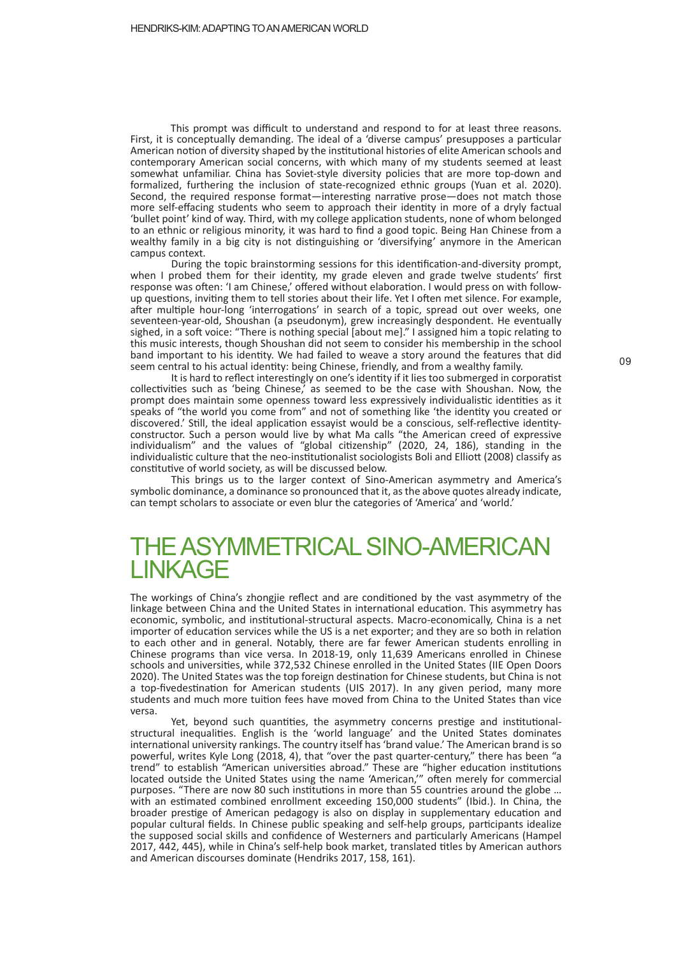This prompt was difficult to understand and respond to for at least three reasons. First, it is conceptually demanding. The ideal of a 'diverse campus' presupposes a par�cular American notion of diversity shaped by the institutional histories of elite American schools and contemporary American social concerns, with which many of my students seemed at least somewhat unfamiliar. China has Soviet-style diversity policies that are more top-down and formalized, furthering the inclusion of state-recognized ethnic groups (Yuan et al. 2020). Second, the required response format—interesting narrative prose—does not match those more self-effacing students who seem to approach their iden�ty in more of a dryly factual 'bullet point' kind of way. Third, with my college application students, none of whom belonged to an ethnic or religious minority, it was hard to find a good topic. Being Han Chinese from a wealthy family in a big city is not distinguishing or 'diversifying' anymore in the American campus context.

During the topic brainstorming sessions for this identification-and-diversity prompt, when I probed them for their identity, my grade eleven and grade twelve students' first response was often: 'I am Chinese,' offered without elaboration. I would press on with followup questions, inviting them to tell stories about their life. Yet I often met silence. For example, after multiple hour-long 'interrogations' in search of a topic, spread out over weeks, one seventeen-year-old, Shoushan (a pseudonym), grew increasingly despondent. He eventually sighed, in a soft voice: "There is nothing special [about me]." I assigned him a topic relating to this music interests, though Shoushan did not seem to consider his membership in the school band important to his iden�ty. We had failed to weave a story around the features that did seem central to his actual identity: being Chinese, friendly, and from a wealthy family.

It is hard to reflect interestingly on one's identity if it lies too submerged in corporatist collectivities such as 'being Chinese,' as seemed to be the case with Shoushan. Now, the prompt does maintain some openness toward less expressively individualistic identities as it speaks of "the world you come from" and not of something like 'the identity you created or discovered.' Still, the ideal application essayist would be a conscious, self-reflective identityconstructor. Such a person would live by what Ma calls "the American creed of expressive individualism" and the values of "global citizenship" (2020, 24, 186), standing in the individualistic culture that the neo-institutionalist sociologists Boli and Elliott (2008) classify as constitutive of world society, as will be discussed below.

This brings us to the larger context of Sino-American asymmetry and America's symbolic dominance, a dominance so pronounced that it, as the above quotes already indicate, can tempt scholars to associate or even blur the categories of 'America' and 'world.'

### THE ASYMMETRICAL SINO-AMERICAN LINKAGE

The workings of China's zhongjie reflect and are conditioned by the vast asymmetry of the linkage between China and the United States in international education. This asymmetry has economic, symbolic, and institutional-structural aspects. Macro-economically, China is a net importer of education services while the US is a net exporter; and they are so both in relation to each other and in general. Notably, there are far fewer American students enrolling in Chinese programs than vice versa. In 2018-19, only 11,639 Americans enrolled in Chinese schools and universities, while 372,532 Chinese enrolled in the United States (IIE Open Doors 2020). The United States was the top foreign destination for Chinese students, but China is not a top-fivedestination for American students (UIS 2017). In any given period, many more students and much more tuition fees have moved from China to the United States than vice versa.

Yet, beyond such quantities, the asymmetry concerns prestige and institutionalstructural inequalities. English is the 'world language' and the United States dominates international university rankings. The country itself has 'brand value.' The American brand is so powerful, writes Kyle Long (2018, 4), that "over the past quarter-century," there has been "a trend" to establish "American universities abroad." These are "higher education institutions located outside the United States using the name 'American,'" often merely for commercial purposes. "There are now 80 such institutions in more than 55 countries around the globe ... with an estimated combined enrollment exceeding 150,000 students" (Ibid.). In China, the broader prestige of American pedagogy is also on display in supplementary education and popular cultural fields. In Chinese public speaking and self-help groups, par�cipants idealize the supposed social skills and confidence of Westerners and par�cularly Americans (Hampel 2017, 442, 445), while in China's self-help book market, translated titles by American authors and American discourses dominate (Hendriks 2017, 158, 161).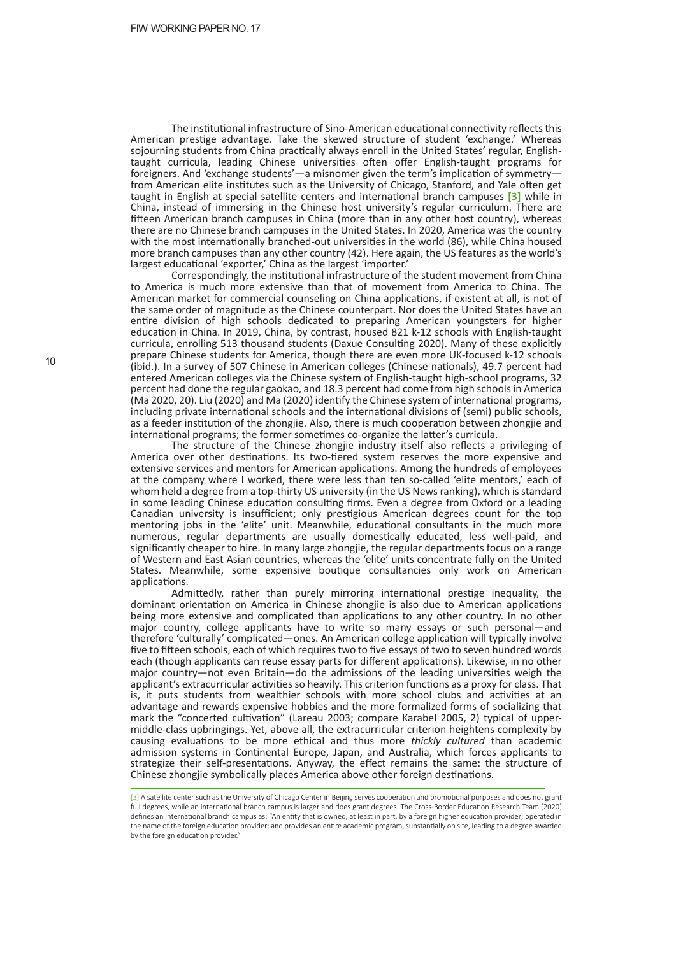The institutional infrastructure of Sino-American educational connectivity reflects this American prestige advantage. Take the skewed structure of student 'exchange.' Whereas sojourning students from China practically always enroll in the United States' regular, Englishtaught curricula, leading Chinese universi�es o�en offer English-taught programs for foreigners. And 'exchange students'—a misnomer given the term's implication of symmetryfrom American elite institutes such as the University of Chicago, Stanford, and Yale often get taught in English at special satellite centers and international branch campuses <sup>[3]</sup> while in China, instead of immersing in the Chinese host university's regular curriculum. There are fifteen American branch campuses in China (more than in any other host country), whereas there are no Chinese branch campuses in the United States. In 2020, America was the country with the most internationally branched-out universities in the world (86), while China housed more branch campuses than any other country (42). Here again, the US features as the world's largest educational 'exporter,' China as the largest 'importer.'

Correspondingly, the institutional infrastructure of the student movement from China to America is much more extensive than that of movement from America to China. The American market for commercial counseling on China applications, if existent at all, is not of the same order of magnitude as the Chinese counterpart. Nor does the United States have an entire division of high schools dedicated to preparing American youngsters for higher education in China. In 2019, China, by contrast, housed 821 k-12 schools with English-taught curricula, enrolling 513 thousand students (Daxue Consulting 2020). Many of these explicitly prepare Chinese students for America, though there are even more UK-focused k-12 schools (ibid.). In a survey of 507 Chinese in American colleges (Chinese nationals), 49.7 percent had entered American colleges via the Chinese system of English-taught high-school programs, 32 percent had done the regular gaokao, and 18.3 percent had come from high schools in America (Ma 2020, 20). Liu (2020) and Ma (2020) identify the Chinese system of international programs, including private international schools and the international divisions of (semi) public schools, as a feeder institution of the zhongjie. Also, there is much cooperation between zhongjie and international programs; the former sometimes co-organize the latter's curricula.

The structure of the Chinese zhongjie industry itself also reflects a privileging of America over other destinations. Its two-tiered system reserves the more expensive and extensive services and mentors for American applications. Among the hundreds of employees at the company where I worked, there were less than ten so-called 'elite mentors,' each of whom held a degree from a top-thirty US university (in the US News ranking), which is standard in some leading Chinese education consulting firms. Even a degree from Oxford or a leading Canadian university is insufficient; only prestigious American degrees count for the top mentoring jobs in the 'elite' unit. Meanwhile, educational consultants in the much more numerous, regular departments are usually domestically educated, less well-paid, and significantly cheaper to hire. In many large zhongjie, the regular departments focus on a range of Western and East Asian countries, whereas the 'elite' units concentrate fully on the United States. Meanwhile, some expensive boutique consultancies only work on American applications.

Admittedly, rather than purely mirroring international prestige inequality, the dominant orientation on America in Chinese zhongjie is also due to American applications being more extensive and complicated than applications to any other country. In no other major country, college applicants have to write so many essays or such personal—and therefore 'culturally' complicated—ones. An American college application will typically involve five to fifteen schools, each of which requires two to five essays of two to seven hundred words each (though applicants can reuse essay parts for different applications). Likewise, in no other major country—not even Britain—do the admissions of the leading universi�es weigh the applicant's extracurricular activities so heavily. This criterion functions as a proxy for class. That is, it puts students from wealthier schools with more school clubs and activities at an advantage and rewards expensive hobbies and the more formalized forms of socializing that mark the "concerted cultivation" (Lareau 2003; compare Karabel 2005, 2) typical of uppermiddle-class upbringings. Yet, above all, the extracurricular criterion heightens complexity by causing evaluations to be more ethical and thus more *thickly cultured* than academic admission systems in Continental Europe, Japan, and Australia, which forces applicants to strategize their self-presentations. Anyway, the effect remains the same: the structure of Chinese zhongjie symbolically places America above other foreign destinations.

<sup>[3]</sup> A satellite center such as the University of Chicago Center in Beijing serves cooperation and promotional purposes and does not grant full degrees, while an international branch campus is larger and does grant degrees. The Cross-Border Education Research Team (2020) defines an international branch campus as: "An entity that is owned, at least in part, by a foreign higher education provider; operated in the name of the foreign education provider; and provides an entire academic program, substantially on site, leading to a degree awarded by the foreign education provider."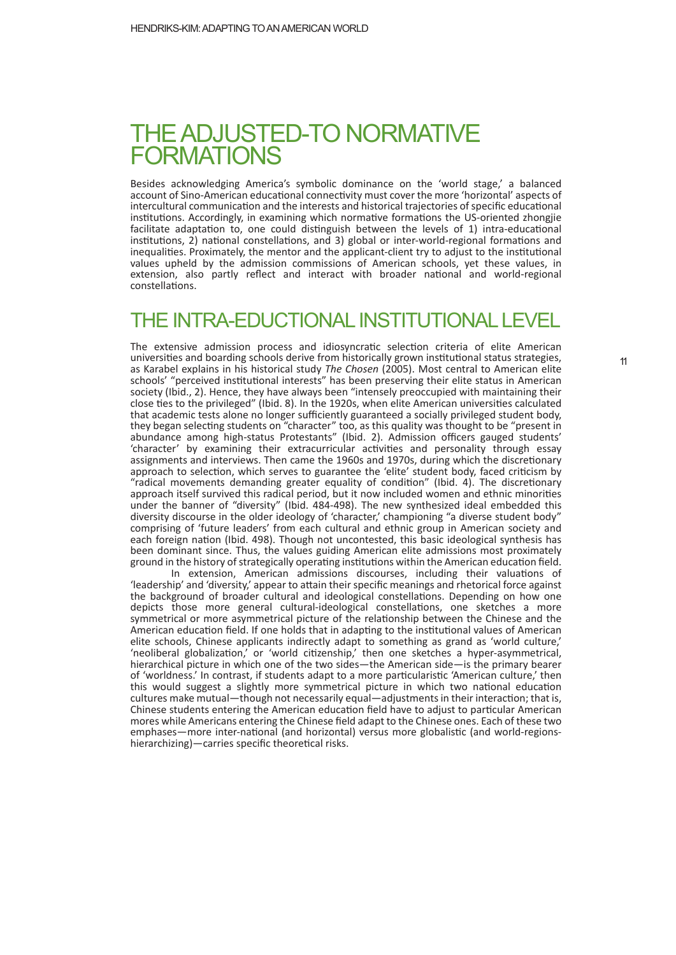## THE ADJUSTED-TO NORMATIVE **FORMATIONS**

Besides acknowledging America's symbolic dominance on the 'world stage,' a balanced account of Sino-American educational connectivity must cover the more 'horizontal' aspects of intercultural communication and the interests and historical trajectories of specific educational institutions. Accordingly, in examining which normative formations the US-oriented zhongjie facilitate adaptation to, one could distinguish between the levels of 1) intra-educational institutions, 2) national constellations, and 3) global or inter-world-regional formations and inequalities. Proximately, the mentor and the applicant-client try to adjust to the institutional values upheld by the admission commissions of American schools, yet these values, in extension, also partly reflect and interact with broader national and world-regional constellations.

#### THE INTRA-EDUCTIONALINSTITUTIONAL LEVEL

The extensive admission process and idiosyncratic selection criteria of elite American universities and boarding schools derive from historically grown institutional status strategies, as Karabel explains in his historical study *The Chosen* (2005). Most central to American elite schools' "perceived institutional interests" has been preserving their elite status in American society (Ibid., 2). Hence, they have always been "intensely preoccupied with maintaining their close ties to the privileged" (Ibid. 8). In the 1920s, when elite American universities calculated that academic tests alone no longer sufficiently guaranteed a socially privileged student body, they began selecting students on "character" too, as this quality was thought to be "present in abundance among high-status Protestants" (Ibid. 2). Admission officers gauged students' 'character' by examining their extracurricular activities and personality through essay assignments and interviews. Then came the 1960s and 1970s, during which the discretionary approach to selection, which serves to guarantee the 'elite' student body, faced criticism by "radical movements demanding greater equality of condition" (Ibid. 4). The discretionary approach itself survived this radical period, but it now included women and ethnic minorities under the banner of "diversity" (Ibid. 484-498). The new synthesized ideal embedded this diversity discourse in the older ideology of 'character,' championing "a diverse student body" comprising of 'future leaders' from each cultural and ethnic group in American society and each foreign nation (Ibid. 498). Though not uncontested, this basic ideological synthesis has been dominant since. Thus, the values guiding American elite admissions most proximately ground in the history of strategically operating institutions within the American education field.

In extension, American admissions discourses, including their valuations of 'leadership' and 'diversity,' appear to attain their specific meanings and rhetorical force against the background of broader cultural and ideological constellations. Depending on how one depicts those more general cultural-ideological constellations, one sketches a more symmetrical or more asymmetrical picture of the relationship between the Chinese and the American education field. If one holds that in adapting to the institutional values of American elite schools, Chinese applicants indirectly adapt to something as grand as 'world culture,' 'neoliberal globalization,' or 'world citizenship,' then one sketches a hyper-asymmetrical, hierarchical picture in which one of the two sides—the American side—is the primary bearer of 'worldness.' In contrast, if students adapt to a more particularistic 'American culture,' then this would suggest a slightly more symmetrical picture in which two national education cultures make mutual—though not necessarily equal—adjustments in their interaction; that is, Chinese students entering the American education field have to adjust to particular American mores while Americans entering the Chinese field adapt to the Chinese ones. Each of these two emphases—more inter-national (and horizontal) versus more globalistic (and world-regionshierarchizing)—carries specific theoretical risks.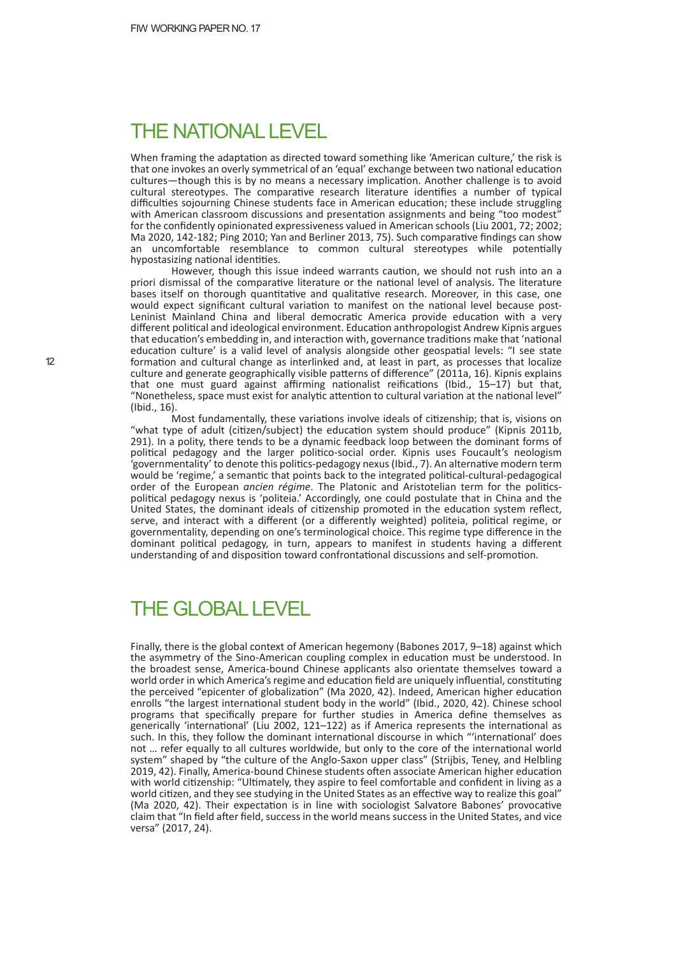#### THE NATIONAL LEVEL

When framing the adaptation as directed toward something like 'American culture,' the risk is that one invokes an overly symmetrical of an 'equal' exchange between two national education cultures—though this is by no means a necessary implication. Another challenge is to avoid cultural stereotypes. The comparative research literature identifies a number of typical difficulties sojourning Chinese students face in American education; these include struggling with American classroom discussions and presentation assignments and being "too modest' for the confidently opinionated expressiveness valued in American schools (Liu 2001, 72; 2002; Ma 2020, 142-182; Ping 2010; Yan and Berliner 2013, 75). Such comparative findings can show an uncomfortable resemblance to common cultural stereotypes while potentially hypostasizing national identities.

However, though this issue indeed warrants caution, we should not rush into an a priori dismissal of the comparative literature or the national level of analysis. The literature bases itself on thorough quantitative and qualitative research. Moreover, in this case, one would expect significant cultural variation to manifest on the national level because post-Leninist Mainland China and liberal democratic America provide education with a very different political and ideological environment. Education anthropologist Andrew Kipnis argues that education's embedding in, and interaction with, governance traditions make that 'national education culture' is a valid level of analysis alongside other geospatial levels: "I see state formation and cultural change as interlinked and, at least in part, as processes that localize culture and generate geographically visible patterns of difference" (2011a, 16). Kipnis explains that one must guard against affirming nationalist reifications (Ibid.,  $15-17$ ) but that, "Nonetheless, space must exist for analytic attention to cultural variation at the national level" (Ibid., 16).

Most fundamentally, these variations involve ideals of citizenship; that is, visions on "what type of adult (citizen/subject) the education system should produce" (Kipnis 2011b, 291). In a polity, there tends to be a dynamic feedback loop between the dominant forms of political pedagogy and the larger politico-social order. Kipnis uses Foucault's neologism 'governmentality' to denote this politics-pedagogy nexus (Ibid., 7). An alternative modern term would be 'regime,' a semantic that points back to the integrated political-cultural-pedagogical order of the European *ancien régime*. The Platonic and Aristotelian term for the politicspolitical pedagogy nexus is 'politeia.' Accordingly, one could postulate that in China and the United States, the dominant ideals of citizenship promoted in the education system reflect, serve, and interact with a different (or a differently weighted) politeia, political regime, or governmentality, depending on one's terminological choice. This regime type difference in the dominant political pedagogy, in turn, appears to manifest in students having a different understanding of and disposition toward confrontational discussions and self-promotion.

#### THE GLOBAL LEVEL

Finally, there is the global context of American hegemony (Babones 2017, 9–18) against which the asymmetry of the Sino-American coupling complex in education must be understood. In the broadest sense, America-bound Chinese applicants also orientate themselves toward a world order in which America's regime and education field are uniquely influential, constituting the perceived "epicenter of globalization" (Ma 2020, 42). Indeed, American higher education enrolls "the largest international student body in the world" (Ibid., 2020, 42). Chinese school programs that specifically prepare for further studies in America define themselves as generically 'international' (Liu 2002, 121-122) as if America represents the international as such. In this, they follow the dominant international discourse in which "'international' does not ... refer equally to all cultures worldwide, but only to the core of the international world system" shaped by "the culture of the Anglo-Saxon upper class" (Strijbis, Teney, and Helbling 2019, 42). Finally, America-bound Chinese students often associate American higher education with world citizenship: "Ultimately, they aspire to feel comfortable and confident in living as a world citizen, and they see studying in the United States as an effective way to realize this goal" (Ma 2020, 42). Their expectation is in line with sociologist Salvatore Babones' provocative claim that "In field a�er field, success in the world means success in the United States, and vice versa" (2017, 24).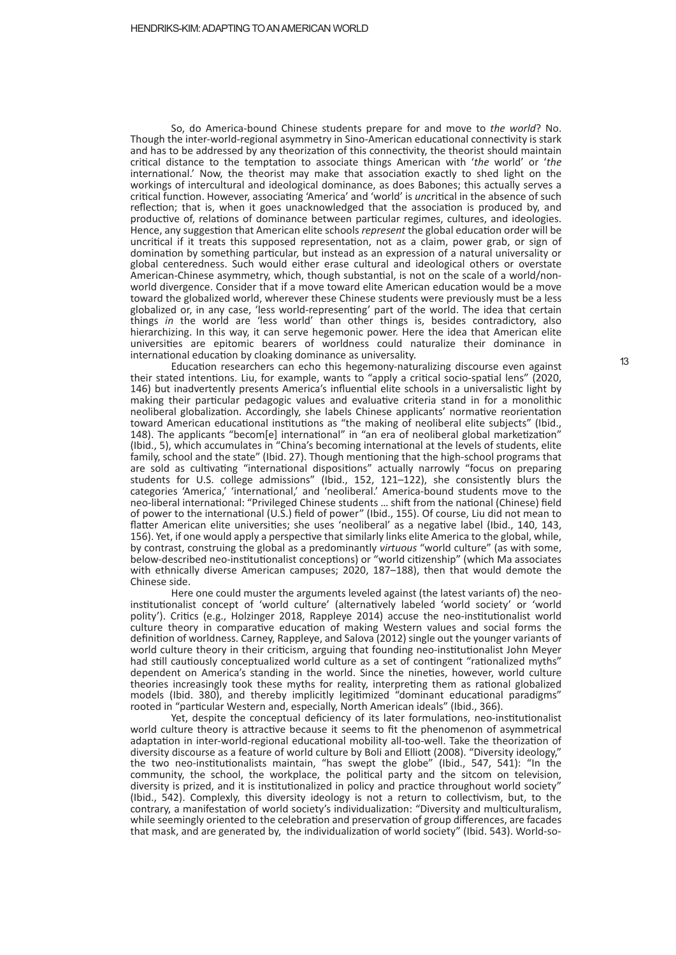So, do America-bound Chinese students prepare for and move to *the world*? No. Though the inter-world-regional asymmetry in Sino-American educational connectivity is stark and has to be addressed by any theorization of this connectivity, the theorist should maintain critical distance to the temptation to associate things American with '*the* world' or '*the* international.' Now, the theorist may make that association exactly to shed light on the workings of intercultural and ideological dominance, as does Babones; this actually serves a critical function. However, associating 'America' and 'world' is *uncritical in the absence of such* reflection; that is, when it goes unacknowledged that the association is produced by, and productive of, relations of dominance between particular regimes, cultures, and ideologies. Hence, any suggestion that American elite schools *represent* the global education order will be uncritical if it treats this supposed representation, not as a claim, power grab, or sign of domination by something particular, but instead as an expression of a natural universality or global centeredness. Such would either erase cultural and ideological others or overstate American-Chinese asymmetry, which, though substantial, is not on the scale of a world/nonworld divergence. Consider that if a move toward elite American education would be a move toward the globalized world, wherever these Chinese students were previously must be a less globalized or, in any case, 'less world-represen�ng' part of the world. The idea that certain things *in* the world are 'less world' than other things is, besides contradictory, also hierarchizing. In this way, it can serve hegemonic power. Here the idea that American elite universi�es are epitomic bearers of worldness could naturalize their dominance in international education by cloaking dominance as universality.

Education researchers can echo this hegemony-naturalizing discourse even against their stated intentions. Liu, for example, wants to "apply a critical socio-spatial lens" (2020, 146) but inadvertently presents America's influential elite schools in a universalistic light by making their particular pedagogic values and evaluative criteria stand in for a monolithic neoliberal globalization. Accordingly, she labels Chinese applicants' normative reorientation toward American educational institutions as "the making of neoliberal elite subjects" (Ibid., 148). The applicants "becom[e] international" in "an era of neoliberal global marketization" (Ibid., 5), which accumulates in "China's becoming international at the levels of students, elite family, school and the state" (Ibid. 27). Though mentioning that the high-school programs that are sold as cultivating "international dispositions" actually narrowly "focus on preparing students for U.S. college admissions" (Ibid., 152, 121–122), she consistently blurs the categories 'America,' 'international,' and 'neoliberal.' America-bound students move to the neo-liberal international: "Privileged Chinese students ... shift from the national (Chinese) field of power to the international (U.S.) field of power" (Ibid., 155). Of course, Liu did not mean to flatter American elite universities; she uses 'neoliberal' as a negative label (Ibid., 140, 143, 156). Yet, if one would apply a perspective that similarly links elite America to the global, while, by contrast, construing the global as a predominantly *virtuous* "world culture" (as with some, below-described neo-institutionalist conceptions) or "world citizenship" (which Ma associates with ethnically diverse American campuses; 2020, 187–188), then that would demote the Chinese side.

Here one could muster the arguments leveled against (the latest variants of) the neoinstitutionalist concept of 'world culture' (alternatively labeled 'world society' or 'world polity'). Critics (e.g., Holzinger 2018, Rappleye 2014) accuse the neo-institutionalist world culture theory in comparative education of making Western values and social forms the definition of worldness. Carney, Rappleye, and Salova (2012) single out the younger variants of world culture theory in their criticism, arguing that founding neo-institutionalist John Meyer had still cautiously conceptualized world culture as a set of contingent "rationalized myths" dependent on America's standing in the world. Since the nineties, however, world culture theories increasingly took these myths for reality, interpreting them as rational globalized models (Ibid. 380), and thereby implicitly legitimized "dominant educational paradigms" rooted in "particular Western and, especially, North American ideals" (Ibid., 366).

Yet, despite the conceptual deficiency of its later formulations, neo-institutionalist world culture theory is attractive because it seems to fit the phenomenon of asymmetrical adaptation in inter-world-regional educational mobility all-too-well. Take the theorization of diversity discourse as a feature of world culture by Boli and Ellio� (2008). "Diversity ideology," the two neo-institutionalists maintain, "has swept the globe" (Ibid., 547, 541): "In the community, the school, the workplace, the poli�cal party and the sitcom on television, diversity is prized, and it is institutionalized in policy and practice throughout world society" (Ibid., 542). Complexly, this diversity ideology is not a return to collectivism, but, to the contrary, a manifestation of world society's individualization: "Diversity and multiculturalism, while seemingly oriented to the celebration and preservation of group differences, are facades that mask, and are generated by, the individualization of world society" (Ibid. 543). World-so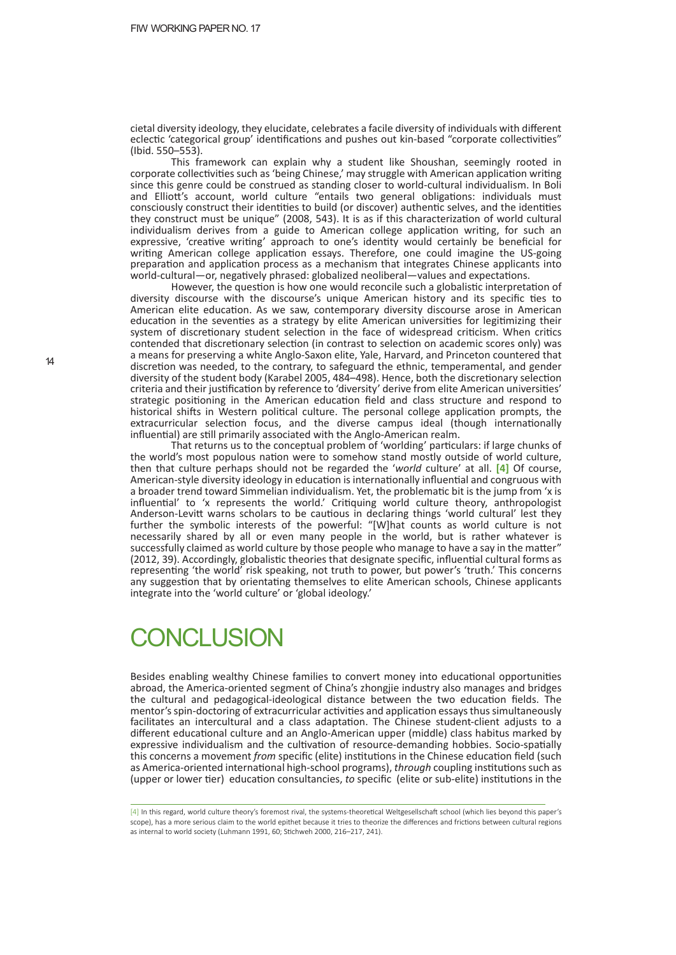cietal diversity ideology, they elucidate, celebrates a facile diversity of individuals with different eclectic 'categorical group' identifications and pushes out kin-based "corporate collectivities" (Ibid. 550–553).

This framework can explain why a student like Shoushan, seemingly rooted in corporate collectivities such as 'being Chinese,' may struggle with American application writing since this genre could be construed as standing closer to world-cultural individualism. In Boli and Elliott's account, world culture "entails two general obligations: individuals must consciously construct their identities to build (or discover) authentic selves, and the identities they construct must be unique" (2008, 543). It is as if this characterization of world cultural individualism derives from a guide to American college application writing, for such an expressive, 'creative writing' approach to one's identity would certainly be beneficial for writing American college application essays. Therefore, one could imagine the US-going preparation and application process as a mechanism that integrates Chinese applicants into world-cultural—or, negatively phrased: globalized neoliberal—values and expectations.

However, the question is how one would reconcile such a globalistic interpretation of diversity discourse with the discourse's unique American history and its specific ties to American elite education. As we saw, contemporary diversity discourse arose in American education in the seventies as a strategy by elite American universities for legitimizing their system of discretionary student selection in the face of widespread criticism. When critics contended that discretionary selection (in contrast to selection on academic scores only) was a means for preserving a white Anglo-Saxon elite, Yale, Harvard, and Princeton countered that discretion was needed, to the contrary, to safeguard the ethnic, temperamental, and gender diversity of the student body (Karabel 2005, 484-498). Hence, both the discretionary selection criteria and their justification by reference to 'diversity' derive from elite American universities' strategic positioning in the American education field and class structure and respond to historical shifts in Western political culture. The personal college application prompts, the extracurricular selection focus, and the diverse campus ideal (though internationally influential) are still primarily associated with the Anglo-American realm.

That returns us to the conceptual problem of 'worlding' par�culars: if large chunks of the world's most populous nation were to somehow stand mostly outside of world culture, then that culture perhaps should not be regarded the '*world* culture' at all. **[4]** Of course, American-style diversity ideology in education is internationally influential and congruous with a broader trend toward Simmelian individualism. Yet, the problematic bit is the jump from 'x is influential' to 'x represents the world.' Critiquing world culture theory, anthropologist Anderson-Levitt warns scholars to be cautious in declaring things 'world cultural' lest they further the symbolic interests of the powerful: "[W]hat counts as world culture is not necessarily shared by all or even many people in the world, but is rather whatever is successfully claimed as world culture by those people who manage to have a say in the matter" (2012, 39). Accordingly, globalistic theories that designate specific, influential cultural forms as representing 'the world' risk speaking, not truth to power, but power's 'truth.' This concerns any suggestion that by orientating themselves to elite American schools, Chinese applicants integrate into the 'world culture' or 'global ideology.'

## **CONCLUSION**

Besides enabling wealthy Chinese families to convert money into educational opportunities abroad, the America-oriented segment of China's zhongjie industry also manages and bridges the cultural and pedagogical-ideological distance between the two education fields. The mentor's spin-doctoring of extracurricular activities and application essays thus simultaneously facilitates an intercultural and a class adaptation. The Chinese student-client adjusts to a different educational culture and an Anglo-American upper (middle) class habitus marked by expressive individualism and the cultivation of resource-demanding hobbies. Socio-spatially this concerns a movement *from* specific (elite) institutions in the Chinese education field (such as America-oriented international high-school programs), *through* coupling institutions such as (upper or lower tier) education consultancies, *to* specific (elite or sub-elite) institutions in the

[4] In this regard, world culture theory's foremost rival, the systems-theoretical Weltgesellschaft school (which lies beyond this paper's scope), has a more serious claim to the world epithet because it tries to theorize the differences and frictions between cultural regions as internal to world society (Luhmann 1991, 60; Stichweh 2000, 216–217, 241).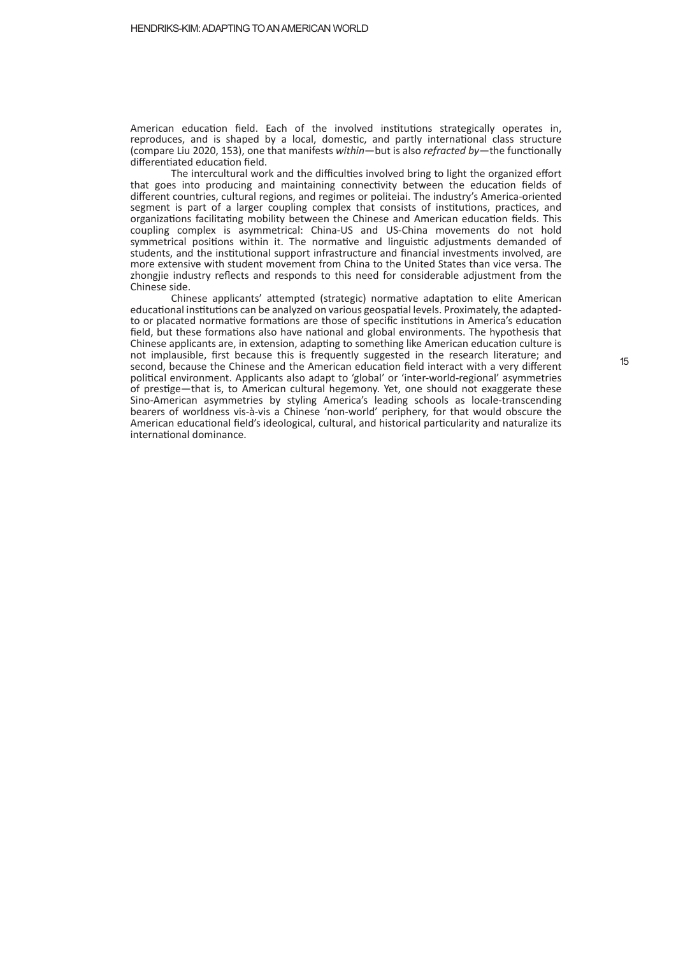American education field. Each of the involved institutions strategically operates in, reproduces, and is shaped by a local, domestic, and partly international class structure (compare Liu 2020, 153), one that manifests *within*—but is also *refracted by*—the functionally differentiated education field.

The intercultural work and the difficulties involved bring to light the organized effort that goes into producing and maintaining connectivity between the education fields of different countries, cultural regions, and regimes or politeiai. The industry's America-oriented segment is part of a larger coupling complex that consists of institutions, practices, and organizations facilitating mobility between the Chinese and American education fields. This coupling complex is asymmetrical: China-US and US-China movements do not hold symmetrical positions within it. The normative and linguistic adjustments demanded of students, and the institutional support infrastructure and financial investments involved, are more extensive with student movement from China to the United States than vice versa. The zhongjie industry reflects and responds to this need for considerable adjustment from the Chinese side.

Chinese applicants' attempted (strategic) normative adaptation to elite American educational institutions can be analyzed on various geospatial levels. Proximately, the adaptedto or placated normative formations are those of specific institutions in America's education field, but these formations also have national and global environments. The hypothesis that Chinese applicants are, in extension, adapting to something like American education culture is not implausible, first because this is frequently suggested in the research literature; and second, because the Chinese and the American education field interact with a very different political environment. Applicants also adapt to 'global' or 'inter-world-regional' asymmetries of prestige—that is, to American cultural hegemony. Yet, one should not exaggerate these Sino-American asymmetries by styling America's leading schools as locale-transcending bearers of worldness vis-à-vis a Chinese 'non-world' periphery, for that would obscure the American educational field's ideological, cultural, and historical particularity and naturalize its international dominance.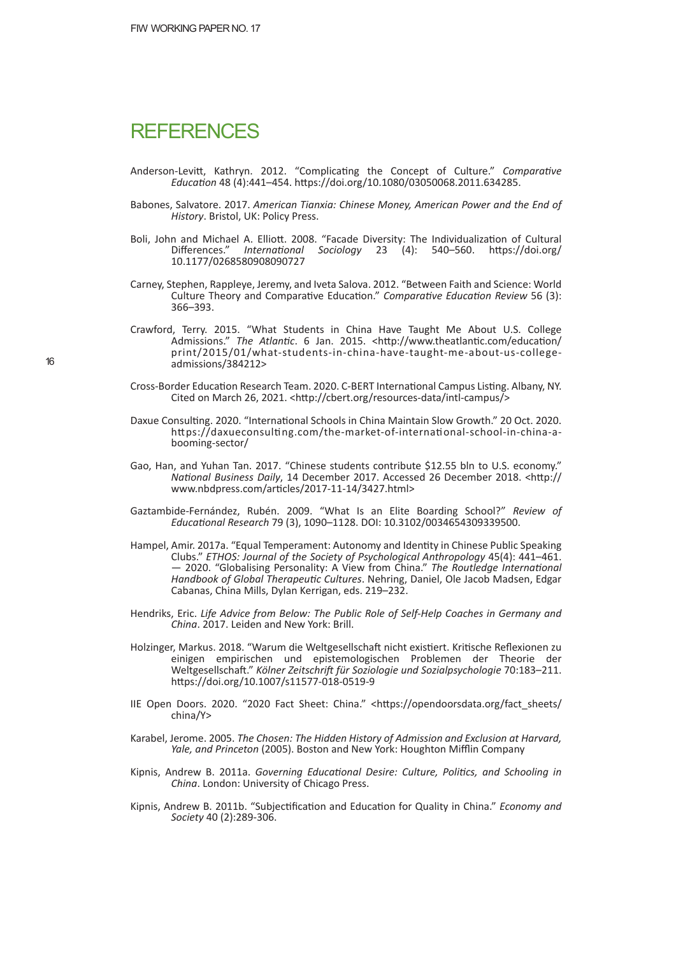#### **REFERENCES**

- Anderson-Levitt, Kathryn. 2012. "Complicating the Concept of Culture." *Comparative Educa�on* 48 (4):441–454. h�ps://doi.org/10.1080/03050068.2011.634285.
- Babones, Salvatore. 2017. *American Tianxia: Chinese Money, American Power and the End of History*. Bristol, UK: Policy Press.
- Boli, John and Michael A. Elliott. 2008. "Facade Diversity: The Individualization of Cultural Differences." *International Sociology* 23 (4): 540–560. https://doi.org/ 10.1177/0268580908090727
- Carney, Stephen, Rappleye, Jeremy, and Iveta Salova. 2012. "Between Faith and Science: World Culture Theory and Comparative Education." *Comparative Education Review* 56 (3): 366–393.
- Crawford, Terry. 2015. "What Students in China Have Taught Me About U.S. College Admissions." The Atlantic. 6 Jan. 2015. <http://www.theatlantic.com/education/ print/2015/01/what-students-in-china-have-taught-me-about-us-collegeadmissions/384212>
- Cross-Border Education Research Team. 2020. C-BERT International Campus Listing. Albany, NY. Cited on March 26, 2021. <http://cbert.org/resources-data/intl-campus/>
- Daxue Consulting. 2020. "International Schools in China Maintain Slow Growth." 20 Oct. 2020. https://daxueconsulting.com/the-market-of-international-school-in-china-abooming-sector/
- Gao, Han, and Yuhan Tan. 2017. "Chinese students contribute \$12.55 bln to U.S. economy." *Na�onal Business Daily*, 14 December 2017. Accessed 26 December 2018. <h�p:// www.nbdpress.com/articles/2017-11-14/3427.html>
- Gaztambide-Fernández, Rubén. 2009. "What Is an Elite Boarding School?" *Review of Educa�onal Research* 79 (3), 1090–1128. DOI: 10.3102/0034654309339500.
- Hampel, Amir. 2017a. "Equal Temperament: Autonomy and Iden�ty in Chinese Public Speaking Clubs." *ETHOS: Journal of the Society of Psychological Anthropology* 45(4): 441–461. — 2020. "Globalising Personality: A View from China." *The Routledge Interna�onal Handbook of Global Therapeu�c Cultures*. Nehring, Daniel, Ole Jacob Madsen, Edgar Cabanas, China Mills, Dylan Kerrigan, eds. 219–232.
- Hendriks, Eric. *Life Advice from Below: The Public Role of Self-Help Coaches in Germany and China*. 2017. Leiden and New York: Brill.
- Holzinger, Markus. 2018. "Warum die Weltgesellschaft nicht existiert. Kritische Reflexionen zu einigen empirischen und epistemologischen Problemen der Theorie der Weltgesellschaft." Kölner Zeitschrift für Soziologie und Sozialpsychologie 70:183-211. https://doi.org/10.1007/s11577-018-0519-9
- IIE Open Doors. 2020. "2020 Fact Sheet: China." <https://opendoorsdata.org/fact sheets/ china/Y>
- Karabel, Jerome. 2005. *The Chosen: The Hidden History of Admission and Exclusion at Harvard, Yale, and Princeton* (2005). Boston and New York: Houghton Mifflin Company
- Kipnis, Andrew B. 2011a. *Governing Educa�onal Desire: Culture, Poli�cs, and Schooling in China*. London: University of Chicago Press.
- Kipnis, Andrew B. 2011b. "Subjectification and Education for Quality in China." *Economy and Society* 40 (2):289-306.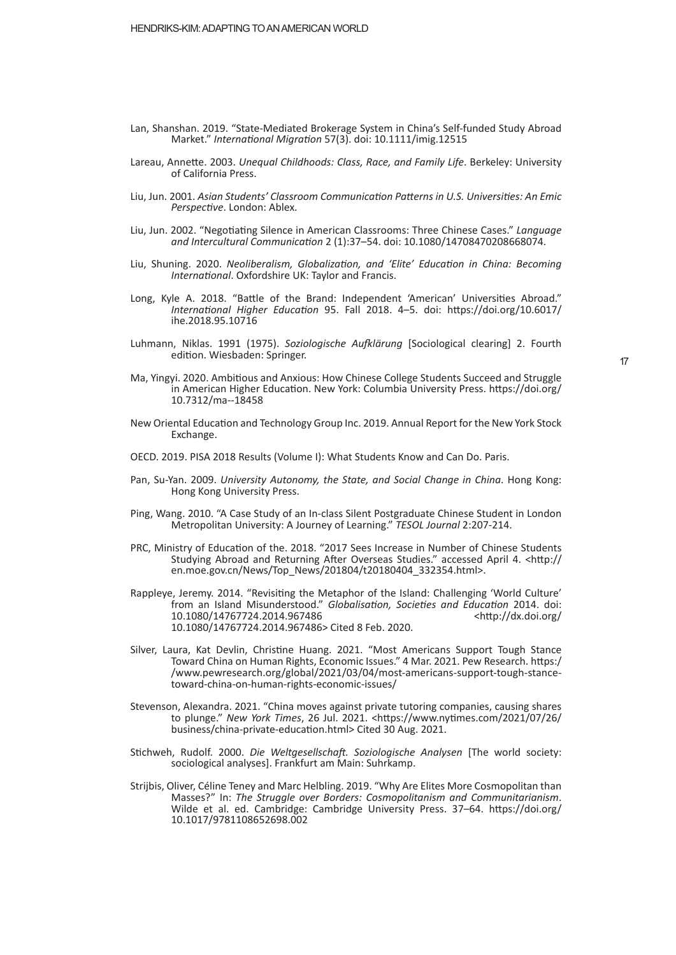- Lan, Shanshan. 2019. "State-Mediated Brokerage System in China's Self-funded Study Abroad Market." *Interna�onal Migra�on* 57(3). doi: 10.1111/imig.12515
- Lareau, Annette. 2003. *Unequal Childhoods: Class, Race, and Family Life*. Berkeley: University of California Press.
- Liu, Jun. 2001. *Asian Students' Classroom Communica�on Pa�erns in U.S. Universi�es: An Emic Perspec�ve*. London: Ablex.
- Liu, Jun. 2002. "Negotiating Silence in American Classrooms: Three Chinese Cases." Language *and Intercultural Communica�on* 2 (1):37–54. doi: 10.1080/14708470208668074.
- Liu, Shuning. 2020. *Neoliberalism, Globaliza�on, and 'Elite' Educa�on in China: Becoming International*. Oxfordshire UK: Taylor and Francis.
- Long, Kyle A. 2018. "Battle of the Brand: Independent 'American' Universities Abroad." *Interna�onal Higher Educa�on* 95. Fall 2018. 4–5. doi: h�ps://doi.org/10.6017/ ihe.2018.95.10716
- Luhmann, Niklas. 1991 (1975). *Soziologische Au�lärung* [Sociological clearing] 2. Fourth edition. Wiesbaden: Springer.
- Ma, Yingyi. 2020. Ambitious and Anxious: How Chinese College Students Succeed and Struggle in American Higher Education. New York: Columbia University Press. https://doi.org/ 10.7312/ma--18458
- New Oriental Education and Technology Group Inc. 2019. Annual Report for the New York Stock Exchange.
- OECD. 2019. PISA 2018 Results (Volume I): What Students Know and Can Do. Paris.
- Pan, Su-Yan. 2009. *University Autonomy, the State, and Social Change in China*. Hong Kong: Hong Kong University Press.
- Ping, Wang. 2010. "A Case Study of an In-class Silent Postgraduate Chinese Student in London Metropolitan University: A Journey of Learning." *TESOL Journal* 2:207-214.
- PRC, Ministry of Education of the. 2018. "2017 Sees Increase in Number of Chinese Students Studying Abroad and Returning After Overseas Studies." accessed April 4. <http:// en.moe.gov.cn/News/Top\_News/201804/t20180404\_332354.html>.
- Rappleye, Jeremy. 2014. "Revisiting the Metaphor of the Island: Challenging 'World Culture' from an Island Misunderstood." *Globalisa�on, Socie�es and Educa�on* 2014. doi: 10.1080/14767724.2014.967486 <h�p://dx.doi.org/ 10.1080/14767724.2014.967486> Cited 8 Feb. 2020.
- Silver, Laura, Kat Devlin, Christine Huang. 2021. "Most Americans Support Tough Stance Toward China on Human Rights, Economic Issues." 4 Mar. 2021. Pew Research. https:/ /www.pewresearch.org/global/2021/03/04/most-americans-support-tough-stancetoward-china-on-human-rights-economic-issues/
- Stevenson, Alexandra. 2021. "China moves against private tutoring companies, causing shares to plunge." New York Times, 26 Jul. 2021. <https://www.nytimes.com/2021/07/26/ business/china-private-educa�on.html> Cited 30 Aug. 2021.
- S�chweh, Rudolf. 2000. *Die Weltgesellscha�. Soziologische Analysen* [The world society: sociological analyses]. Frankfurt am Main: Suhrkamp.
- Strijbis, Oliver, Céline Teney and Marc Helbling. 2019. "Why Are Elites More Cosmopolitan than Masses?" In: *The Struggle over Borders: Cosmopolitanism and Communitarianism*. Wilde et al. ed. Cambridge: Cambridge University Press. 37-64. https://doi.org/ 10.1017/9781108652698.002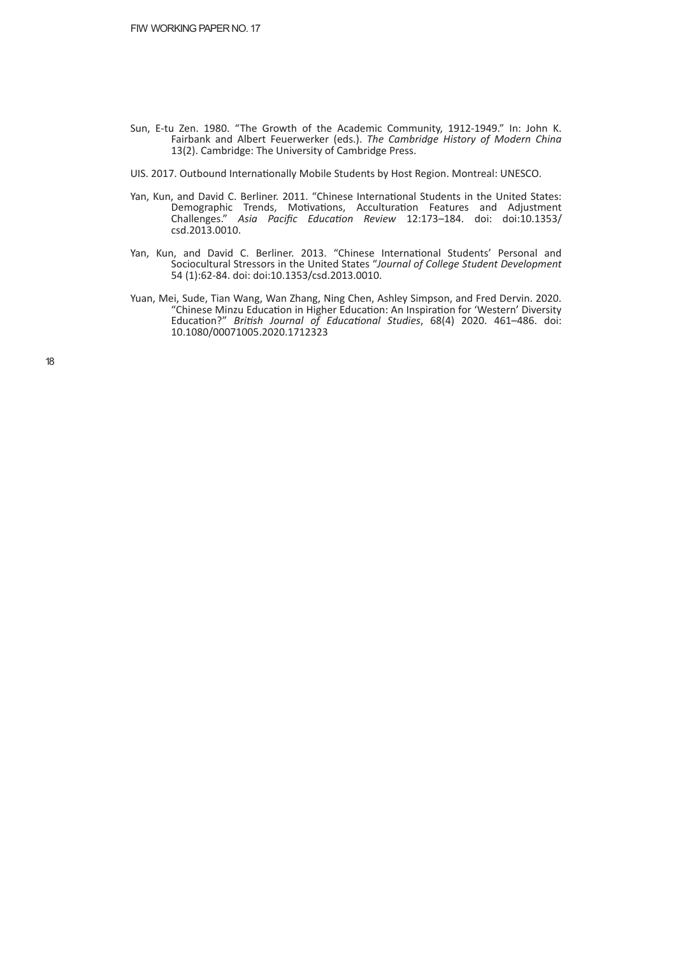- Sun, E-tu Zen. 1980. "The Growth of the Academic Community, 1912-1949." In: John K. Fairbank and Albert Feuerwerker (eds.). *The Cambridge History of Modern China* 13(2). Cambridge: The University of Cambridge Press.
- UIS. 2017. Outbound Internationally Mobile Students by Host Region. Montreal: UNESCO.
- Yan, Kun, and David C. Berliner. 2011. "Chinese International Students in the United States: Demographic Trends, Motivations, Acculturation Features and Adjustment Challenges." *Asia Pacific Educa�on Review* 12:173–184. doi: doi:10.1353/ csd.2013.0010.
- Yan, Kun, and David C. Berliner. 2013. "Chinese International Students' Personal and Sociocultural Stressors in the United States "*Journal of College Student Development* 54 (1):62-84. doi: doi:10.1353/csd.2013.0010.
- Yuan, Mei, Sude, Tian Wang, Wan Zhang, Ning Chen, Ashley Simpson, and Fred Dervin. 2020. "Chinese Minzu Education in Higher Education: An Inspiration for 'Western' Diversity Education?" British Journal of Educational Studies, 68(4) 2020. 461-486. doi: 10.1080/00071005.2020.1712323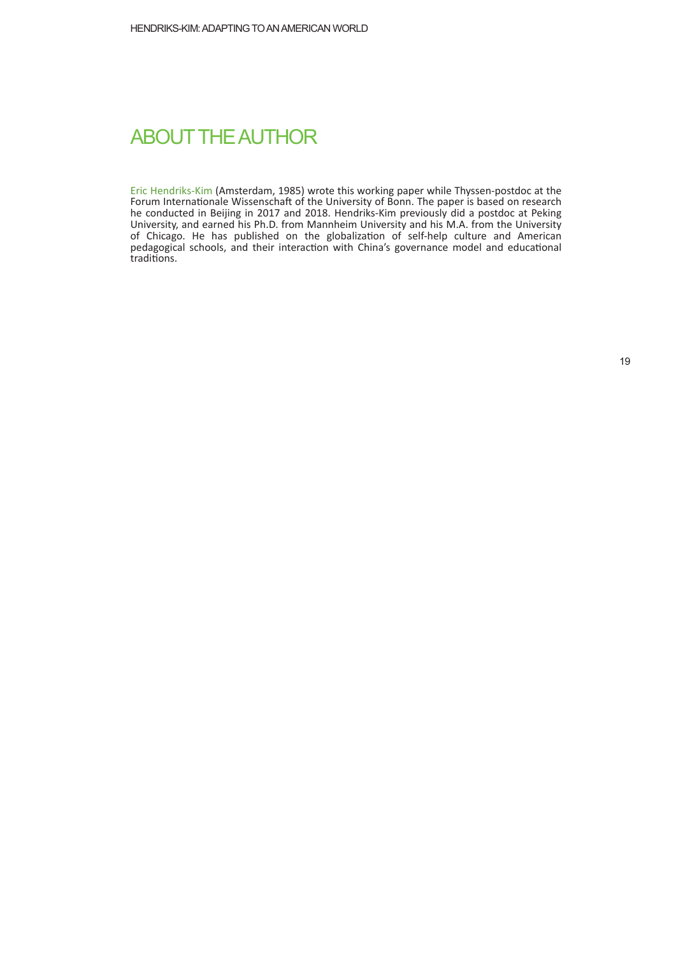#### ABOUT THE AUTHOR

Eric Hendriks-Kim (Amsterdam, 1985) wrote this working paper while Thyssen-postdoc at the Forum Internationale Wissenschaft of the University of Bonn. The paper is based on research he conducted in Beijing in 2017 and 2018. Hendriks-Kim previously did a postdoc at Peking University, and earned his Ph.D. from Mannheim University and his M.A. from the University of Chicago. He has published on the globalization of self-help culture and American pedagogical schools, and their interaction with China's governance model and educational traditions.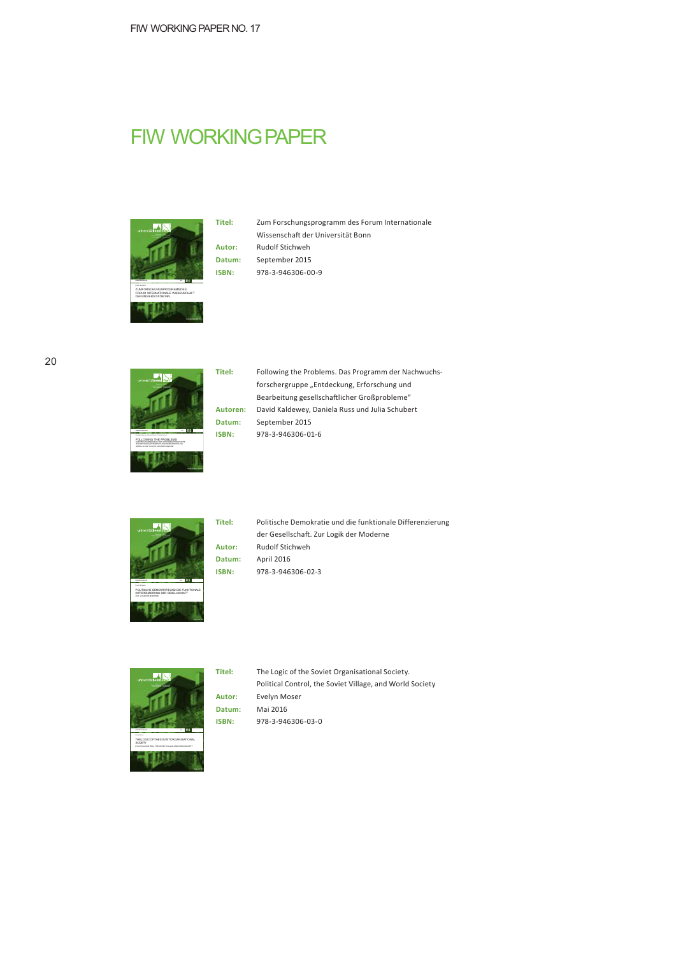## **FIW WORKING PAPER**



#### **Titel:** Zum Forschungsprogramm des Forum Internationale Wissenschaft der Universität Bonn **Autor:** Rudolf Stichweh **Datum:** September 2015 **ISBN:** 978-3-946306-00-9







**Titel:** Politische Demokratie und die funktionale Differenzierung der Gesellschaft. Zur Logik der Moderne **Autor:** Rudolf Stichweh **Datum:** April 2016







**Titel:** The Logic of the Soviet Organisational Society. Political Control, the Soviet Village, and World Society **Autor:** Evelyn Moser **Datum:** Mai 2016 **ISBN:** 978-3-946306-03-0

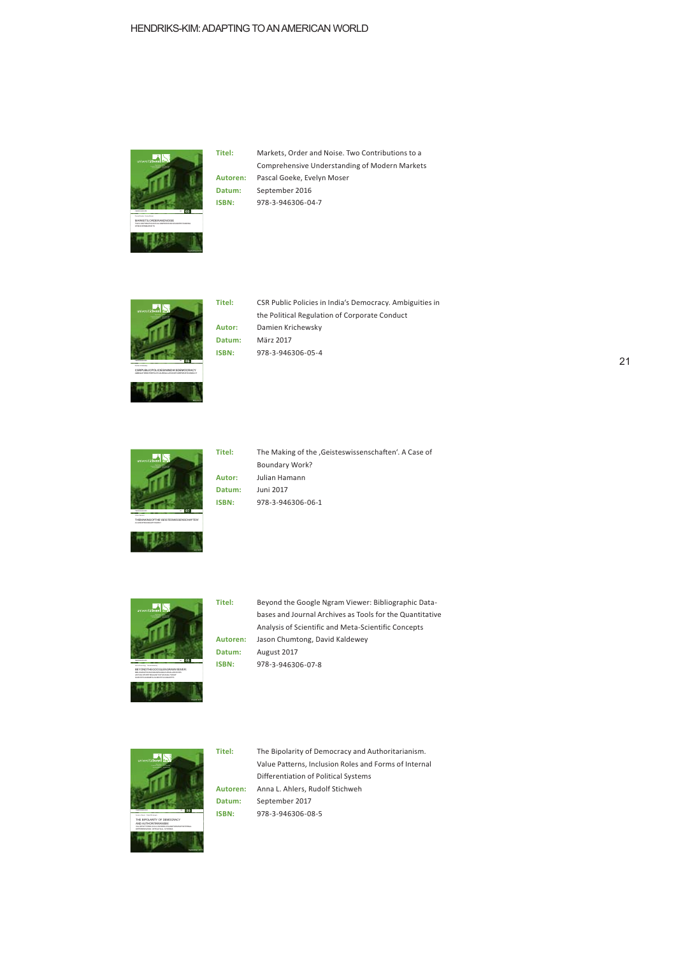

September2016

März2017

Juni 2017

**Titel:** Markets, Order and Noise. Two Contributions to a Comprehensive Understanding of Modern Markets **Autoren:** Pascal Goeke, Evelyn Moser **Datum:** September 2016 **ISBN:** 978-3-946306-04-7







Titel: The Making of the , Geisteswissenschaften'. A Case of Boundary Work? **Autor:** Julian Hamann **Datum:** Juni 2017 **ISBN:** 978-3-946306-06-1



**Titel:** Beyond the Google Ngram Viewer: Bibliographic Databases and Journal Archives as Tools for the Quantitative Analysis of Scientific and Meta-Scientific Concepts **Autoren:** Jason Chumtong, David Kaldewey **Datum:** August 2017 **ISBN:** 978-3-946306-07-8



**Titel:** The Bipolarity of Democracy and Authoritarianism. Value Patterns, Inclusion Roles and Forms of Internal Differentiation of Political Systems **Autoren:** Anna L. Ahlers, Rudolf Stichweh **Datum:** September 2017 **ISBN:** 978-3-946306-08-5 **<sup>09</sup>**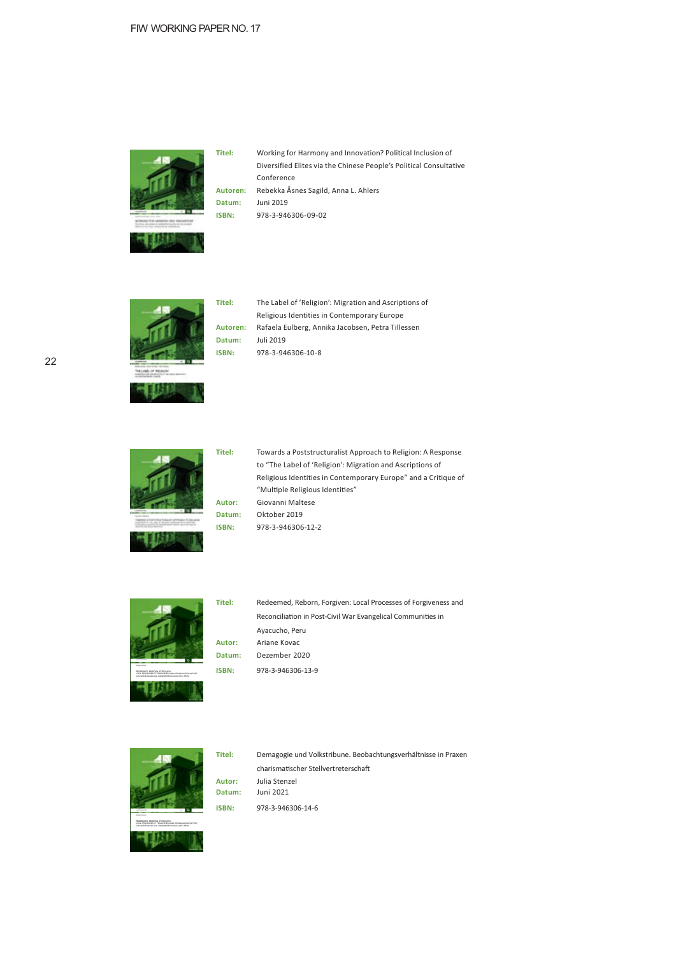

**Titel:** Working for Harmony and Innovation? Political Inclusion of Diversified Elites via the Chinese People's Political Consultative Conference **Autoren:** Rebekka Åsnes Sagild, Anna L. Ahlers **Datum:** Juni 2019 **ISBN:** 978-3-946306-09-02



**Titel:** The Label of 'Religion': Migration and Ascriptions of Religious Identities in Contemporary Europe **Autoren:** Rafaela Eulberg, Annika Jacobsen, Petra Tillessen **Datum:** Juli 2019 **ISBN:** 978-3-946306-10-8



**Titel:** Towards a Poststructuralist Approach to Religion: A Response to "The Label of 'Religion': Migration and Ascriptions of Religious Identities in Contemporary Europe" and a Critique of "Multiple Religious Identities" **Autor:** Giovanni Maltese Oktober 2019 978-3-946306-12-2



CIVILWAR EVANGELICAL COMMUNITIES IN AYACUCHO, PERU

Dezember 2020

Dezember 2020

Dezember 2020 Redeemed, Reborn, Forgiven: Local Processes of Forgiveness and Reconciliation in Post-Civil War Evangelical Communities in Ayacucho, Peru **Autor:** Ariane Kovac 978-3-946306-13-9



**Datum:** Juni 2021 978-3-946306-14-6 Demagogie und Volkstribune. Beobachtungsverhältnisse in Praxen charismatischer Stellvertreterschaft **Autor:** Julia Stenzel